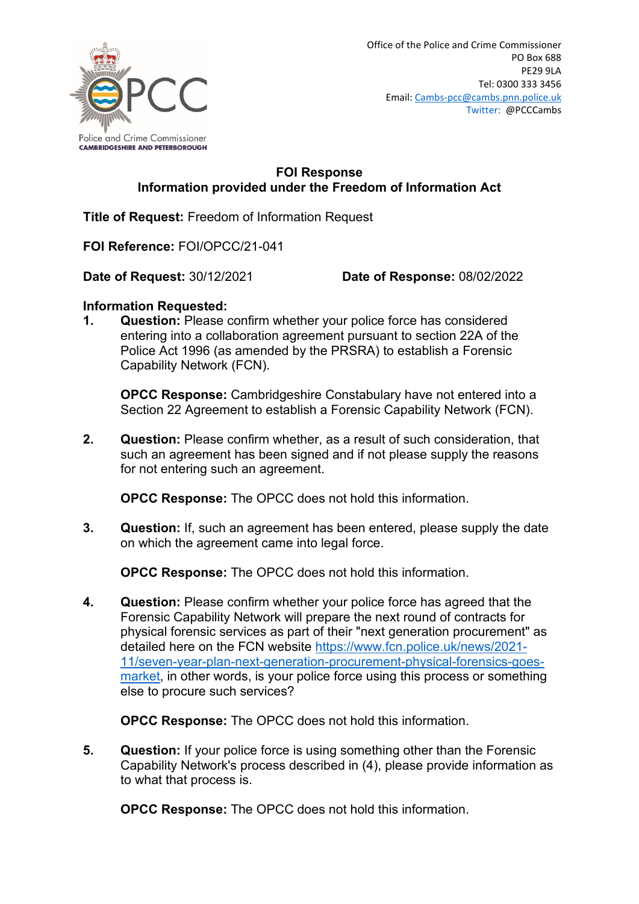

## **FOI Response Information provided under the Freedom of Information Act**

**Title of Request:** Freedom of Information Request

**FOI Reference:** FOI/OPCC/21-041

**Date of Request:** 30/12/2021 **Date of Response:** 08/02/2022

## **Information Requested:**

**1. Question:** Please confirm whether your police force has considered entering into a collaboration agreement pursuant to section 22A of the Police Act 1996 (as amended by the PRSRA) to establish a Forensic Capability Network (FCN).

**OPCC Response:** Cambridgeshire Constabulary have not entered into a Section 22 Agreement to establish a Forensic Capability Network (FCN).

**2. Question:** Please confirm whether, as a result of such consideration, that such an agreement has been signed and if not please supply the reasons for not entering such an agreement.

**OPCC Response:** The OPCC does not hold this information.

**3. Question:** If, such an agreement has been entered, please supply the date on which the agreement came into legal force.

**OPCC Response:** The OPCC does not hold this information.

**4. Question:** Please confirm whether your police force has agreed that the Forensic Capability Network will prepare the next round of contracts for physical forensic services as part of their "next generation procurement" as detailed here on the FCN website [https://www.fcn.police.uk/news/2021-](https://www.fcn.police.uk/news/2021-11/seven-year-plan-next-generation-procurement-physical-forensics-goes-market) [11/seven-year-plan-next-generation-procurement-physical-forensics-goes](https://www.fcn.police.uk/news/2021-11/seven-year-plan-next-generation-procurement-physical-forensics-goes-market)[market,](https://www.fcn.police.uk/news/2021-11/seven-year-plan-next-generation-procurement-physical-forensics-goes-market) in other words, is your police force using this process or something else to procure such services?

**OPCC Response:** The OPCC does not hold this information.

**5. Question:** If your police force is using something other than the Forensic Capability Network's process described in (4), please provide information as to what that process is.

**OPCC Response:** The OPCC does not hold this information.